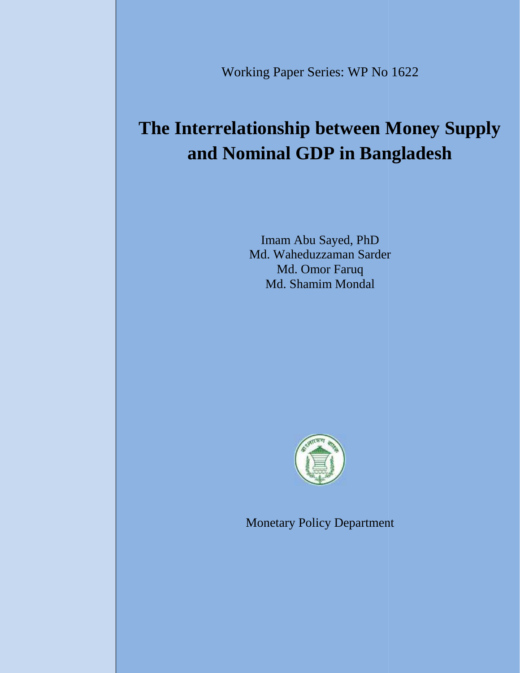Working Paper Series: WP No 1622

# **The Interrelationship between Money Supply between and Nominal GDP in Bangladesh**

Imam Abu Sayed, PhD Md. Waheduzzaman Sarder Md. Omor Faruq Md. Shamim Mondal Md. Waheduzzaman Sarder<br>Md. Omor Faruq<br>Md. Shamim Mondal<br>Monetary Policy Departmen



Monetary Policy Department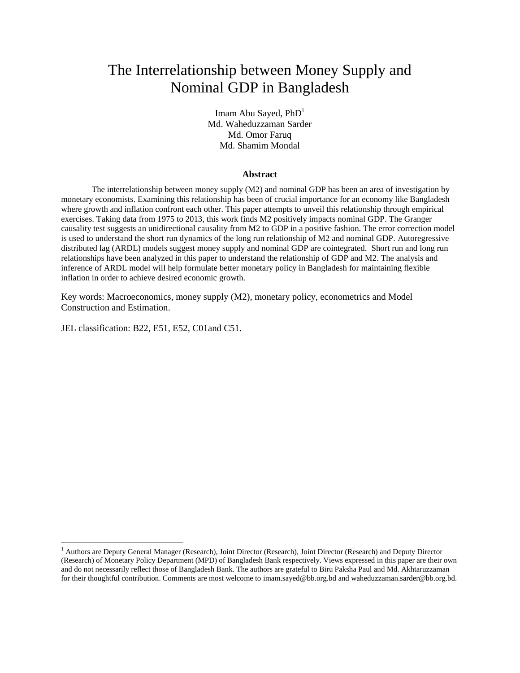# The Interrelationship between Money Supply and Nominal GDP in Bangladesh

Imam Abu Saved,  $PhD<sup>1</sup>$ Md. Waheduzzaman Sarder Md. Omor Faruq Md. Shamim Mondal

#### **Abstract**

The interrelationship between money supply (M2) and nominal GDP has been an area of investigation by monetary economists. Examining this relationship has been of crucial importance for an economy like Bangladesh where growth and inflation confront each other. This paper attempts to unveil this relationship through empirical exercises. Taking data from 1975 to 2013, this work finds M2 positively impacts nominal GDP. The Granger causality test suggests an unidirectional causality from M2 to GDP in a positive fashion. The error correction model is used to understand the short run dynamics of the long run relationship of M2 and nominal GDP. Autoregressive distributed lag (ARDL) models suggest money supply and nominal GDP are cointegrated. Short run and long run relationships have been analyzed in this paper to understand the relationship of GDP and M2. The analysis and inference of ARDL model will help formulate better monetary policy in Bangladesh for maintaining flexible inflation in order to achieve desired economic growth.

Key words: Macroeconomics, money supply (M2), monetary policy, econometrics and Model Construction and Estimation.

JEL classification: B22, E51, E52, C01and C51.

<sup>&</sup>lt;sup>1</sup> Authors are Deputy General Manager (Research), Joint Director (Research), Joint Director (Research) and Deputy Director (Research) of Monetary Policy Department (MPD) of Bangladesh Bank respectively. Views expressed in this paper are their own and do not necessarily reflect those of Bangladesh Bank. The authors are grateful to Biru Paksha Paul and Md. Akhtaruzzaman for their thoughtful contribution. Comments are most welcome to imam.sayed@bb.org.bd and waheduzzaman.sarder@bb.org.bd.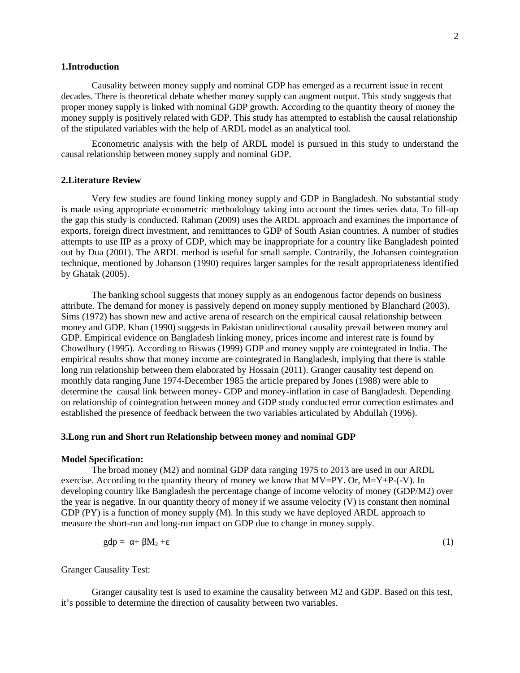#### **1.Introduction**

Causality between money supply and nominal GDP has emerged as a recurrent issue in recent decades. There is theoretical debate whether money supply can augment output. This study suggests that proper money supply is linked with nominal GDP growth. According to the quantity theory of money the money supply is positively related with GDP. This study has attempted to establish the causal relationship of the stipulated variables with the help of ARDL model as an analytical tool.

Econometric analysis with the help of ARDL model is pursued in this study to understand the causal relationship between money supply and nominal GDP.

#### **2.Literature Review**

Very few studies are found linking money supply and GDP in Bangladesh. No substantial study is made using appropriate econometric methodology taking into account the times series data. To fill-up the gap this study is conducted. Rahman (2009) uses the ARDL approach and examines the importance of exports, foreign direct investment, and remittances to GDP of South Asian countries. A number of studies attempts to use IIP as a proxy of GDP, which may be inappropriate for a country like Bangladesh pointed out by Dua (2001). The ARDL method is useful for small sample. Contrarily, the Johansen cointegration technique, mentioned by Johanson (1990) requires larger samples for the result appropriateness identified by Ghatak (2005).

The banking school suggests that money supply as an endogenous factor depends on business attribute. The demand for money is passively depend on money supply mentioned by Blanchard (2003). Sims (1972) has shown new and active arena of research on the empirical causal relationship between money and GDP. Khan (1990) suggests in Pakistan unidirectional causality prevail between money and GDP. Empirical evidence on Bangladesh linking money, prices income and interest rate is found by Chowdhury (1995). According to Biswas (1999) GDP and money supply are cointegrated in India. The empirical results show that money income are cointegrated in Bangladesh, implying that there is stable long run relationship between them elaborated by Hossain (2011). Granger causality test depend on monthly data ranging June 1974-December 1985 the article prepared by Jones (1988) were able to determine the causal link between money- GDP and money-inflation in case of Bangladesh. Depending on relationship of cointegration between money and GDP study conducted error correction estimates and established the presence of feedback between the two variables articulated by Abdullah (1996).

#### **3.Long run and Short run Relationship between money and nominal GDP**

#### **Model Specification:**

The broad money (M2) and nominal GDP data ranging 1975 to 2013 are used in our ARDL exercise. According to the quantity theory of money we know that  $MV=PY$ . Or,  $M=Y+P-(-V)$ . In developing country like Bangladesh the percentage change of income velocity of money (GDP/M2) over the year is negative. In our quantity theory of money if we assume velocity (V) is constant then nominal GDP (PY) is a function of money supply (M). In this study we have deployed ARDL approach to measure the short-run and long-run impact on GDP due to change in money supply.

$$
gdp = + M_2 + (1)
$$

Granger Causality Test:

Granger causality test is used to examine the causality between M2 and GDP. Based on this test, it's possible to determine the direction of causality between two variables.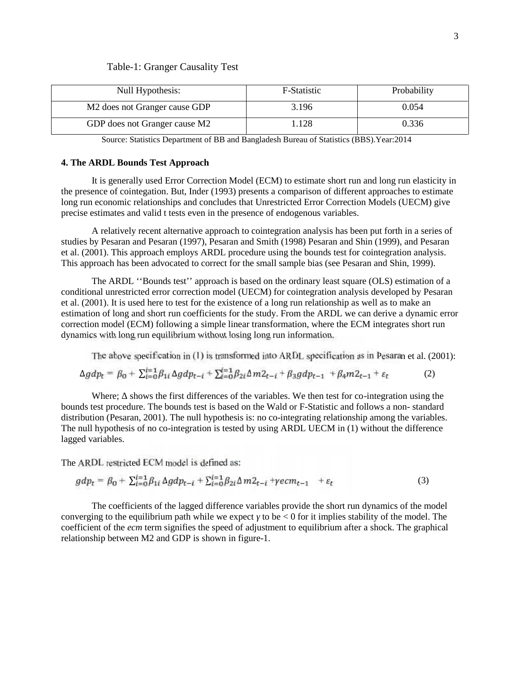#### Table-1: Granger Causality Test

| Null Hypothesis:                          | <b>F-Statistic</b> | Probability |
|-------------------------------------------|--------------------|-------------|
| M <sub>2</sub> does not Granger cause GDP | 3.196              | 0.054       |
| GDP does not Granger cause M2             | .128               | 0.336       |

Source: Statistics Department of BB and Bangladesh Bureau of Statistics (BBS).Year:2014

#### **4. The ARDL Bounds Test Approach**

It is generally used Error Correction Model (ECM) to estimate short run and long run elasticity in the presence of cointegation. But, Inder (1993) presents a comparison of different approaches to estimate long run economic relationships and concludes that Unrestricted Error Correction Models (UECM) give precise estimates and valid t tests even in the presence of endogenous variables.

A relatively recent alternative approach to cointegration analysis has been put forth in a series of studies by Pesaran and Pesaran (1997), Pesaran and Smith (1998) Pesaran and Shin (1999), and Pesaran et al. (2001). This approach employs ARDL procedure using the bounds test for cointegration analysis. This approach has been advocated to correct for the small sample bias (see Pesaran and Shin, 1999).

The ARDL ''Bounds test'' approach is based on the ordinary least square (OLS) estimation of a conditional unrestricted error correction model (UECM) for cointegration analysis developed by Pesaran et al. (2001). It is used here to test for the existence of a long run relationship as well as to make an estimation of long and short run coefficients for the study. From the ARDL we can derive a dynamic error correction model (ECM) following a simple linear transformation, where the ECM integrates short run dynamics with long run equilibrium without losing long run information.

The above specification in (1) is transformed into ARDL specification as in Pesaran et al. (2001):

$$
\Delta g dp_t = \beta_0 + \sum_{i=0}^{t-1} \beta_{1i} \Delta g dp_{t-i} + \sum_{i=0}^{t-1} \beta_{2i} \Delta m_{t-i} + \beta_3 g dp_{t-1} + \beta_4 m_{t-1} + \varepsilon_t \tag{2}
$$

**Controller Control** St

**Section 2.30** 

Where; shows the first differences of the variables. We then test for co-integration using the bounds test procedure. The bounds test is based on the Wald or F-Statistic and follows a non- standard distribution (Pesaran, 2001). The null hypothesis is: no co-integrating relationship among the variables. The null hypothesis of no co-integration is tested by using ARDL UECM in (1) without the difference lagged variables.

The ARDL restricted ECM model is defined as:

$$
gdp_t = \beta_0 + \sum_{i=0}^{t-1} \beta_{1i} \Delta gdp_{t-i} + \sum_{i=0}^{t-1} \beta_{2i} \Delta m_{t-i} + \gamma ecm_{t-1} + \varepsilon_t
$$
 (3)

The coefficients of the lagged difference variables provide the short run dynamics of the model converging to the equilibrium path while we expect to be  $\lt 0$  for it implies stability of the model. The coefficient of the *ecm* term signifies the speed of adjustment to equilibrium after a shock. The graphical relationship between M2 and GDP is shown in figure-1.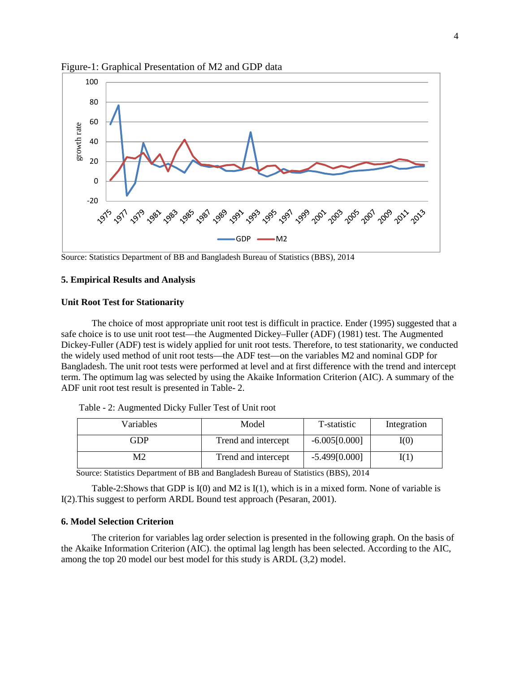

Figure-1: Graphical Presentation of M2 and GDP data

Source: Statistics Department of BB and Bangladesh Bureau of Statistics (BBS), 2014

## **5. Empirical Results and Analysis**

#### **Unit Root Test for Stationarity**

The choice of most appropriate unit root test is difficult in practice. Ender (1995) suggested that a safe choice is to use unit root test—the Augmented Dickey–Fuller (ADF) (1981) test. The Augmented Dickey-Fuller (ADF) test is widely applied for unit root tests. Therefore, to test stationarity, we conducted the widely used method of unit root tests—the ADF test—on the variables M2 and nominal GDP for Bangladesh. The unit root tests were performed at level and at first difference with the trend and intercept term. The optimum lag was selected by using the Akaike Information Criterion (AIC). A summary of the ADF unit root test result is presented in Table- 2.

| Table - 2: Augmented Dicky Fuller Test of Unit root |  |
|-----------------------------------------------------|--|
|-----------------------------------------------------|--|

| Variables | Model               | T-statistic     | Integration |
|-----------|---------------------|-----------------|-------------|
| GDP       | Trend and intercept | $-6.005[0.000]$ | I(0)        |
| Μ2        | Trend and intercept | $-5.499[0.000]$ | I(1)        |

Source: Statistics Department of BB and Bangladesh Bureau of Statistics (BBS), 2014

Table-2:Shows that GDP is I(0) and M2 is I(1), which is in a mixed form. None of variable is I(2).This suggest to perform ARDL Bound test approach (Pesaran, 2001).

#### **6. Model Selection Criterion**

The criterion for variables lag order selection is presented in the following graph. On the basis of the Akaike Information Criterion (AIC). the optimal lag length has been selected. According to the AIC, among the top 20 model our best model for this study is ARDL (3,2) model.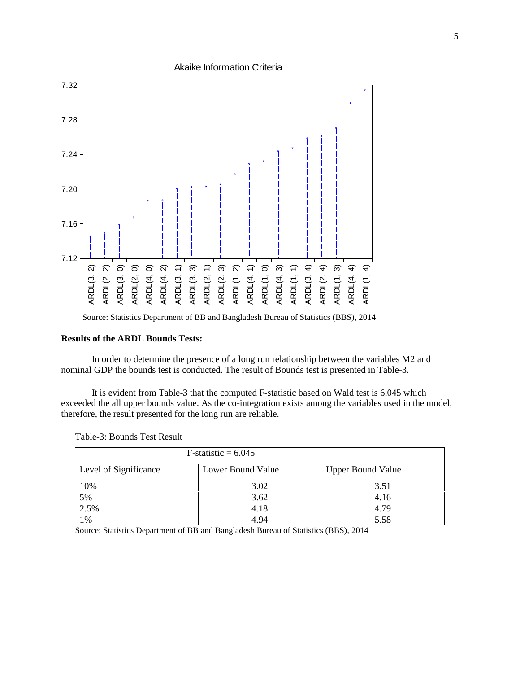Akaike Information Criteria



Source: Statistics Department of BB and Bangladesh Bureau of Statistics (BBS), 2014

### **Results of the ARDL Bounds Tests:**

In order to determine the presence of a long run relationship between the variables M2 and nominal GDP the bounds test is conducted. The result of Bounds test is presented in Table-3.

It is evident from Table-3 that the computed F-statistic based on Wald test is 6.045 which exceeded the all upper bounds value. As the co-integration exists among the variables used in the model, therefore, the result presented for the long run are reliable.

| $F-statistic = 6.045$ |                   |                          |  |  |
|-----------------------|-------------------|--------------------------|--|--|
| Level of Significance | Lower Bound Value | <b>Upper Bound Value</b> |  |  |
| 10%                   | 3.02              | 3.51                     |  |  |
| 5%                    | 3.62              | 4.16                     |  |  |
| 2.5%                  | 4.18              | 4.79                     |  |  |
| $\frac{1}{2}$ %       | 4.94              | 5.58                     |  |  |

Table-3: Bounds Test Result

Source: Statistics Department of BB and Bangladesh Bureau of Statistics (BBS), 2014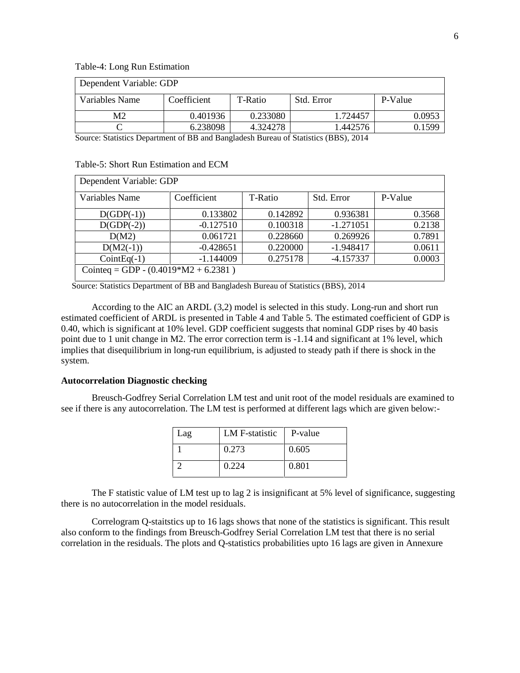Table-4: Long Run Estimation

| Dependent Variable: GDP |             |          |                                                                                   |         |  |  |
|-------------------------|-------------|----------|-----------------------------------------------------------------------------------|---------|--|--|
| Variables Name          | Coefficient | T-Ratio  | Std. Error                                                                        | P-Value |  |  |
| М2                      | 0.401936    | 0.233080 | .724457                                                                           | 0.0953  |  |  |
|                         | 6.238098    | 4.324278 | 1.442576                                                                          | 0.1599  |  |  |
|                         |             |          | Course Statistics Department of DD and Depaladesh Dursey of Statistics (DDS) 2014 |         |  |  |

Source: Statistics Department of BB and Bangladesh Bureau of Statistics (BBS), 2014

| Table-5: Short Run Estimation and ECM |  |  |
|---------------------------------------|--|--|
|---------------------------------------|--|--|

| Variables Name                           | Coefficient | T-Ratio  | Std. Error  | P-Value |
|------------------------------------------|-------------|----------|-------------|---------|
| $D(GDP(-1))$                             | 0.133802    | 0.142892 | 0.936381    | 0.3568  |
| $D(GDP(-2))$                             | $-0.127510$ | 0.100318 | $-1.271051$ | 0.2138  |
| D(M2)                                    | 0.061721    | 0.228660 | 0.269926    | 0.7891  |
| $D(M2(-1))$                              | $-0.428651$ | 0.220000 | $-1.948417$ | 0.0611  |
| $CointEq(-1)$                            | $-1.144009$ | 0.275178 | $-4.157337$ | 0.0003  |
| Cointeq = GDP - $(0.4019 * M2 + 6.2381)$ |             |          |             |         |
|                                          |             |          |             |         |

Source: Statistics Department of BB and Bangladesh Bureau of Statistics (BBS), 2014

According to the AIC an ARDL (3,2) model is selected in this study. Long-run and short run estimated coefficient of ARDL is presented in Table 4 and Table 5. The estimated coefficient of GDP is 0.40, which is significant at 10% level. GDP coefficient suggests that nominal GDP rises by 40 basis point due to 1 unit change in M2. The error correction term is -1.14 and significant at 1% level, which implies that disequilibrium in long-run equilibrium, is adjusted to steady path if there is shock in the system.

#### **Autocorrelation Diagnostic checking**

Breusch-Godfrey Serial Correlation LM test and unit root of the model residuals are examined to see if there is any autocorrelation. The LM test is performed at different lags which are given below:-

| Lag | LM F-statistic | P-value |
|-----|----------------|---------|
|     | 0.273          | 0.605   |
|     | 0.224          | 0.801   |

The F statistic value of LM test up to lag 2 is insignificant at 5% level of significance, suggesting there is no autocorrelation in the model residuals.

Correlogram Q-staitstics up to 16 lags shows that none of the statistics is significant. This result also conform to the findings from Breusch-Godfrey Serial Correlation LM test that there is no serial correlation in the residuals. The plots and Q-statistics probabilities upto 16 lags are given in Annexure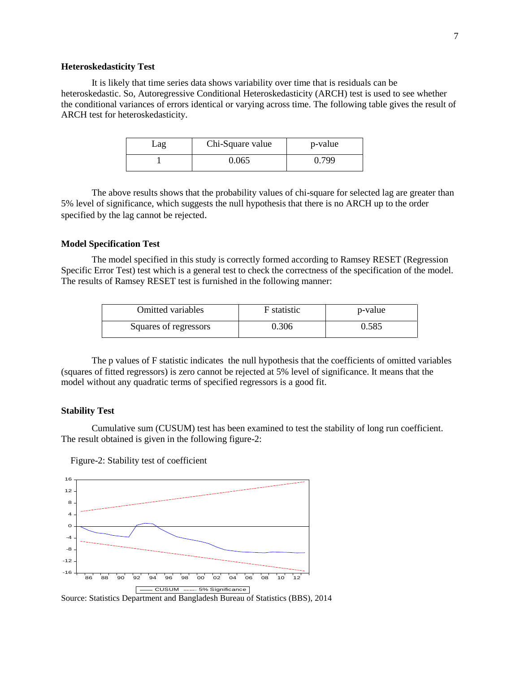#### **Heteroskedasticity Test**

It is likely that time series data shows variability over time that is residuals can be heteroskedastic. So, Autoregressive Conditional Heteroskedasticity (ARCH) test is used to see whether the conditional variances of errors identical or varying across time. The following table gives the result of ARCH test for heteroskedasticity.

| -ag | Chi-Square value | p-value |
|-----|------------------|---------|
|     | 0.065            | 0.799   |

The above results shows that the probability values of chi-square for selected lag are greater than 5% level of significance, which suggests the null hypothesis that there is no ARCH up to the order specified by the lag cannot be rejected.

#### **Model Specification Test**

The model specified in this study is correctly formed according to Ramsey RESET (Regression Specific Error Test) test which is a general test to check the correctness of the specification of the model. The results of Ramsey RESET test is furnished in the following manner:

| <b>Omitted variables</b> | F statistic | p-value |
|--------------------------|-------------|---------|
| Squares of regressors    | 0.306       | 0.585   |

The p values of F statistic indicates the null hypothesis that the coefficients of omitted variables (squares of fitted regressors) is zero cannot be rejected at 5% level of significance. It means that the model without any quadratic terms of specified regressors is a good fit.

#### **Stability Test**

Cumulative sum (CUSUM) test has been examined to test the stability of long run coefficient. The result obtained is given in the following figure-2:

Figure-2: Stability test of coefficient



Source: Statistics Department and Bangladesh Bureau of Statistics (BBS), 2014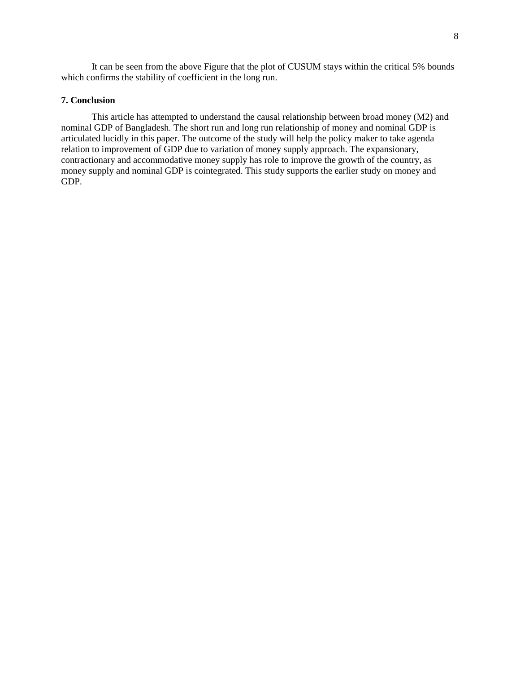It can be seen from the above Figure that the plot of CUSUM stays within the critical 5% bounds which confirms the stability of coefficient in the long run.

# **7. Conclusion**

This article has attempted to understand the causal relationship between broad money (M2) and nominal GDP of Bangladesh. The short run and long run relationship of money and nominal GDP is articulated lucidly in this paper. The outcome of the study will help the policy maker to take agenda relation to improvement of GDP due to variation of money supply approach. The expansionary, contractionary and accommodative money supply has role to improve the growth of the country, as money supply and nominal GDP is cointegrated. This study supports the earlier study on money and GDP.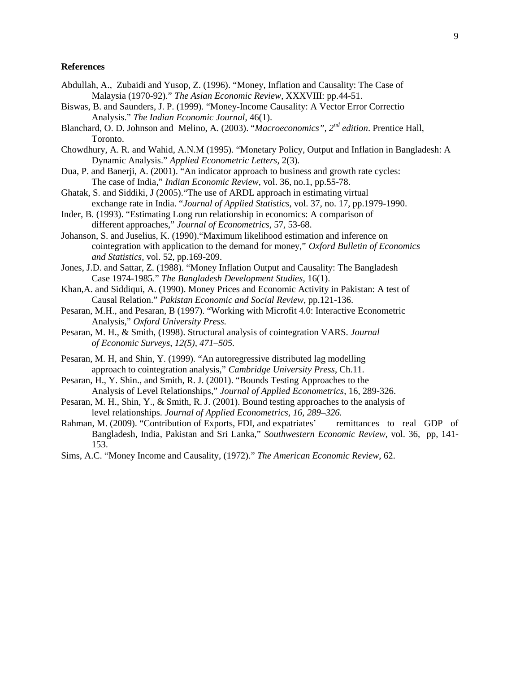#### **References**

- Abdullah, A., Zubaidi and Yusop, Z. (1996). "Money, Inflation and Causality: The Case of Malaysia (1970-92)." *The Asian Economic Review*, XXXVIII: pp.44-51.
- Biswas, B. and Saunders, J. P. (1999). "Money-Income Causality: A Vector Error Correctio Analysis." *The Indian Economic Journal*, 46(1).
- Blanchard, O. D. Johnson and Melino, A. (2003). "*Macroeconomics", 2nd edition*. Prentice Hall, Toronto.
- Chowdhury, A. R. and Wahid, A.N.M (1995). "Monetary Policy, Output and Inflation in Bangladesh: A Dynamic Analysis." *Applied Econometric Letters*, 2(3).
- Dua, P. and Banerji, A. (2001). "An indicator approach to business and growth rate cycles: The case of India*,*" *Indian Economic Review*, vol. 36, no.1, pp.55-78.
- Ghatak, S. and Siddiki, J (2005)."The use of ARDL approach in estimating virtual exchange rate in India. "*Journal of Applied Statistics*, vol. 37, no. 17, pp.1979-1990.
- Inder, B. (1993). "Estimating Long run relationship in economics: A comparison of different approaches," *Journal of Econometrics*, 57, 53-68.
- Johanson, S. and Juselius, K. (1990)."Maximum likelihood estimation and inference on cointegration with application to the demand for money," *Oxford Bulletin of Economics and Statistics*, vol. 52, pp.169-209.
- Jones, J.D. and Sattar, Z. (1988). "Money Inflation Output and Causality: The Bangladesh Case 1974-1985." *The Bangladesh Development Studies*, 16(1).
- Khan,A. and Siddiqui, A. (1990). Money Prices and Economic Activity in Pakistan: A test of Causal Relation." *Pakistan Economic and Social Review*, pp.121-136.
- Pesaran, M.H., and Pesaran, B (1997). "Working with Microfit 4.0: Interactive Econometric Analysis," *Oxford University Press.*
- Pesaran, M. H., & Smith, (1998). Structural analysis of cointegration VARS. *Journal of Economic Surveys, 12(5), 471–505.*
- Pesaran, M. H, and Shin, Y. (1999). "An autoregressive distributed lag modelling approach to cointegration analysis," *Cambridge University Press*, Ch.11.
- Pesaran, H., Y. Shin., and Smith, R. J. (2001). "Bounds Testing Approaches to the Analysis of Level Relationships," *Journal of Applied Econometrics*, 16, 289-326.
- Pesaran, M. H., Shin, Y., & Smith, R. J. (2001). Bound testing approaches to the analysis of level relationships. *Journal of Applied Econometrics, 16, 289–326.*
- Rahman, M. (2009). "Contribution of Exports, FDI, and expatriates' remittances to real GDP of Bangladesh, India, Pakistan and Sri Lanka," *Southwestern Economic Review*, vol. 36, pp, 141- 153.
- Sims, A.C. "Money Income and Causality, (1972)." *The American Economic Review*, 62.